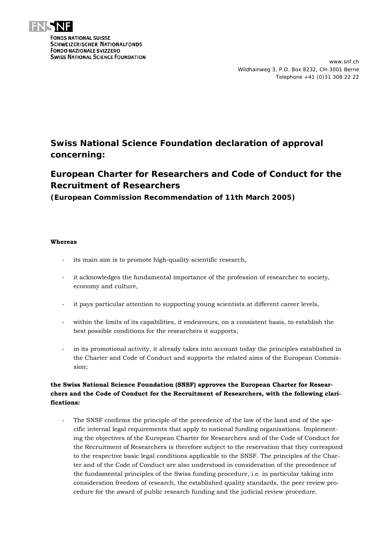

**FONDS NATIONAL SUISSE SCHWEIZERISCHER NATIONALFONDS FONDO NAZIONALE SVIZZERO SWISS NATIONAL SCIENCE FOUNDATION** 

## **Swiss National Science Foundation declaration of approval concerning:**

## *European Charter for Researchers* **and** *Code of Conduct for the Recruitment of Researchers*

**(European Commission Recommendation of 11th March 2005)** 

## **Whereas**

- its main aim is to promote high-quality scientific research,
- it acknowledges the fundamental importance of the profession of researcher to society, economy and culture,
- it pays particular attention to supporting young scientists at different career levels,
- within the limits of its capabilities, it endeavours, on a consistent basis, to establish the best possible conditions for the researchers it supports,
- in its promotional activity, it already takes into account today the principles established in the Charter and Code of Conduct and supports the related aims of the European Commission;

## **the Swiss National Science Foundation (SNSF) approves the European Charter for Researchers and the Code of Conduct for the Recruitment of Researchers, with the following clarifications:**

The SNSF confirms the principle of the precedence of the law of the land and of the specific internal legal requirements that apply to national funding organisations. Implementing the objectives of the European Charter for Researchers and of the Code of Conduct for the Recruitment of Researchers is therefore subject to the reservation that they correspond to the respective basic legal conditions applicable to the SNSF. The principles of the Charter and of the Code of Conduct are also understood in consideration of the precedence of the fundamental principles of the Swiss funding procedure, i.e. in particular taking into consideration freedom of research, the established quality standards, the peer review procedure for the award of public research funding and the judicial review procedure.